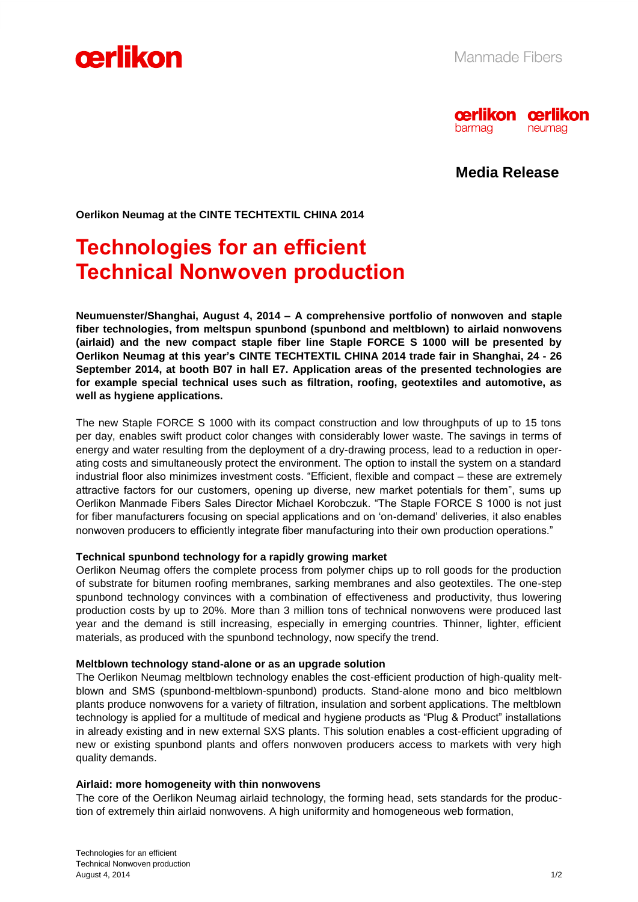



**Media Release**

**Oerlikon Neumag at the CINTE TECHTEXTIL CHINA 2014**

# **Technologies for an efficient Technical Nonwoven production**

**Neumuenster/Shanghai, August 4, 2014 – A comprehensive portfolio of nonwoven and staple fiber technologies, from meltspun spunbond (spunbond and meltblown) to airlaid nonwovens (airlaid) and the new compact staple fiber line Staple FORCE S 1000 will be presented by Oerlikon Neumag at this year's CINTE TECHTEXTIL CHINA 2014 trade fair in Shanghai, 24 - 26 September 2014, at booth B07 in hall E7. Application areas of the presented technologies are for example special technical uses such as filtration, roofing, geotextiles and automotive, as well as hygiene applications.**

The new Staple FORCE S 1000 with its compact construction and low throughputs of up to 15 tons per day, enables swift product color changes with considerably lower waste. The savings in terms of energy and water resulting from the deployment of a dry-drawing process, lead to a reduction in operating costs and simultaneously protect the environment. The option to install the system on a standard industrial floor also minimizes investment costs. "Efficient, flexible and compact – these are extremely attractive factors for our customers, opening up diverse, new market potentials for them", sums up Oerlikon Manmade Fibers Sales Director Michael Korobczuk. "The Staple FORCE S 1000 is not just for fiber manufacturers focusing on special applications and on 'on-demand' deliveries, it also enables nonwoven producers to efficiently integrate fiber manufacturing into their own production operations."

## **Technical spunbond technology for a rapidly growing market**

Oerlikon Neumag offers the complete process from polymer chips up to roll goods for the production of substrate for bitumen roofing membranes, sarking membranes and also geotextiles. The one-step spunbond technology convinces with a combination of effectiveness and productivity, thus lowering production costs by up to 20%. More than 3 million tons of technical nonwovens were produced last year and the demand is still increasing, especially in emerging countries. Thinner, lighter, efficient materials, as produced with the spunbond technology, now specify the trend.

#### **Meltblown technology stand-alone or as an upgrade solution**

The Oerlikon Neumag meltblown technology enables the cost-efficient production of high-quality meltblown and SMS (spunbond-meltblown-spunbond) products. Stand-alone mono and bico meltblown plants produce nonwovens for a variety of filtration, insulation and sorbent applications. The meltblown technology is applied for a multitude of medical and hygiene products as "Plug & Product" installations in already existing and in new external SXS plants. This solution enables a cost-efficient upgrading of new or existing spunbond plants and offers nonwoven producers access to markets with very high quality demands.

#### **Airlaid: more homogeneity with thin nonwovens**

The core of the Oerlikon Neumag airlaid technology, the forming head, sets standards for the production of extremely thin airlaid nonwovens. A high uniformity and homogeneous web formation,